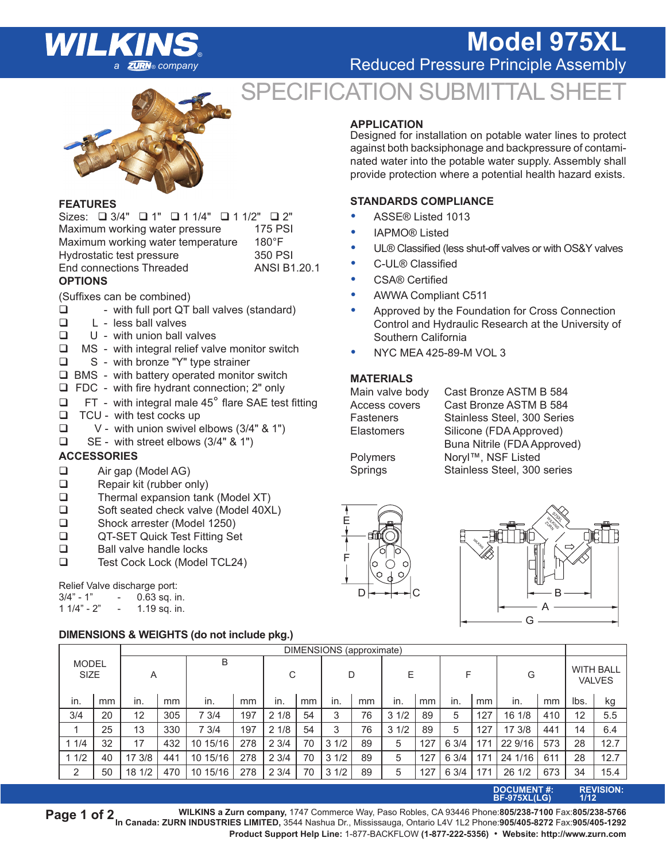# **ZURN**® company

## **Model 975XL**

**Reduced Pressure Principle Assembly** 

## SPECIFICATION SUBMITTAL SHE



#### **FEATURES**

| Sizes: □ 3/4" □ 1" □ 1 1/4" □ 1 1/2" □ 2" |                     |
|-------------------------------------------|---------------------|
| Maximum working water pressure            | <b>175 PSI</b>      |
| Maximum working water temperature         | $180^{\circ}$ F     |
| Hydrostatic test pressure                 | 350 PSI             |
| End connections Threaded                  | <b>ANSI B1.20.1</b> |
| <b>OPTIONS</b>                            |                     |

(Suffixes can be combined)

- $\Box$  with full port QT ball valves (standard)<br> $\Box$  L less ball valves
- $\Box$  L less ball valves<br> $\Box$  U with union ball v
- U with union ball valves
- $\Box$  MS with integral relief valve monitor switch
- □ S with bronze "Y" type strainer
- $\Box$  BMS with battery operated monitor switch
- FDC with fire hydrant connection; 2" only
- $\Box$  FT with integral male 45 $^{\circ}$  flare SAE test fitting
- $\Box$  TCU with test cocks up
- $\Box$  V with union swivel elbows (3/4" & 1")
- $\Box$  SE with street elbows (3/4" & 1")

#### **ACCESSORIES**

- Air gap (Model AG)
- Repair kit (rubber only)
- $\Box$  Thermal expansion tank (Model XT)
- □ Soft seated check valve (Model 40XL)
- Shock arrester (Model 1250)
- QT-SET Quick Test Fitting Set
- $\Box$  Ball valve handle locks
- Test Cock Lock (Model TCL24)

#### Relief Valve discharge port:

| $3/4" - 1"$  | 0.63 sq. in. |
|--------------|--------------|
| $11/4" - 2"$ | 1.19 sq. in. |

#### **DIMENSIONS & WEIGHTS (do not include pkg.)**

#### **APPLICATION**

Designed for installation on potable water lines to protect against both backsiphonage and backpressure of contaminated water into the potable water supply. Assembly shall provide protection where a potential health hazard exists.

#### **STANDARDS COMPLIANCE**

- ASSE® Listed 1013
- IAPMO® Listed
- UL® Classified (less shut-off valves or with OS&Y valves
- C-UL® Classified
- CSA® Certified
- AWWA Compliant C511
- Approved by the Foundation for Cross Connection Control and Hydraulic Research at the University of Southern California
- NYC MEA 425-89-M VOL 3

### **MATERIALS**<br>Main valve body

Cast Bronze ASTM B 584 Access covers Cast Bronze ASTM B 584 Fasteners Stainless Steel, 300 Series Elastomers Silicone (FDA Approved) Buna Nitrile (FDA Approved) Polymers Noryl™, NSF Listed Springs Stainless Steel, 300 series





|                             |    | DIMENSIONS (approximate) |     |          |     |      |    |      |    |                  |     |       |     |         |     |      |                                   |
|-----------------------------|----|--------------------------|-----|----------|-----|------|----|------|----|------------------|-----|-------|-----|---------|-----|------|-----------------------------------|
| <b>MODEL</b><br><b>SIZE</b> |    | Α                        |     | B        |     | C    |    | D    |    | Е                |     | F     |     | G       |     |      | <b>WITH BALL</b><br><b>VALVES</b> |
| in.                         | mm | in.                      | mm  | in.      | mm  | in.  | mm | in.  | mm | in.              | mm  | in.   | mm  | in.     | mm  | lbs. | kg                                |
| 3/4                         | 20 | 12                       | 305 | 7 3/4    | 197 | 21/8 | 54 | 3    | 76 | 1/2<br>3         | 89  | 5     | 127 | 16 1/8  | 410 | 12   | 5.5                               |
|                             | 25 | 13                       | 330 | 7 3/4    | 197 | 21/8 | 54 | 3    | 76 | 31/2             | 89  | 5     | 127 | 17 3/8  | 441 | 14   | 6.4                               |
| 11/4                        | 32 | 17                       | 432 | 10 15/16 | 278 | 23/4 | 70 | 31/2 | 89 | 5                | 127 | 6 3/4 | 171 | 22 9/16 | 573 | 28   | 12.7                              |
| 11/2                        | 40 | 17 3/8                   | 441 | 10 15/16 | 278 | 23/4 | 70 | 31/2 | 89 | 5                | 127 | 6 3/4 | 171 | 24 1/16 | 611 | 28   | 12.7                              |
| 2                           | 50 | 18 1/2                   | 470 | 10 15/16 | 278 | 23/4 | 70 | 31/2 | 89 | 5                | 127 | 6 3/4 | 171 | 26 1/2  | 673 | 34   | 15.4                              |
| <b>DOOUMENT 4.</b>          |    |                          |     |          |     |      |    |      |    | <b>DEVIOLANE</b> |     |       |     |         |     |      |                                   |

**DOCUMENT #: REVISION: BF-975XL(LG) 1/12**

 **WILKINS a Zurn company,** 1747 Commerce Way, Paso Robles, CA 93446 Phone:**805/238-7100** Fax:**805/238-5766 In Canada: ZURN INDUSTRIES LIMITED,** 3544 Nashua Dr., Mississauga, Ontario L4V 1L2 Phone:**905/405-8272** Fax:**905/405-1292 Page 1 of 2 Product Support Help Line:** 1-877-BACKFLOW **(1-877-222-5356)** • **Website: http://www.zurn.com**